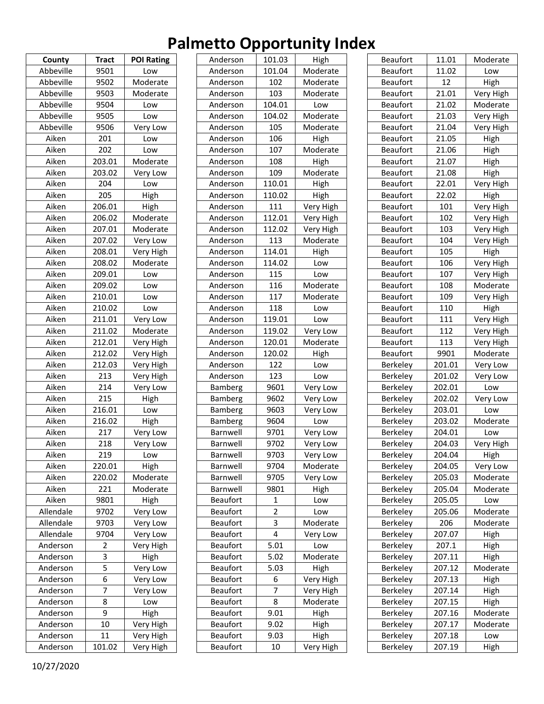| County    | <b>Tract</b>            | <b>POI Rating</b> |
|-----------|-------------------------|-------------------|
| Abbeville | 9501                    | Low               |
| Abbeville | 9502                    | Moderate          |
| Abbeville | 9503                    | Moderate          |
| Abbeville | 9504                    | Low               |
| Abbeville | 9505                    | Low               |
| Abbeville | 9506                    | Very Low          |
| Aiken     | 201                     | Low               |
| Aiken     | 202                     | Low               |
| Aiken     | 203.01                  | Moderate          |
| Aiken     | 203.02                  | Very Low          |
| Aiken     | 204                     | Low               |
| Aiken     | 205                     | High              |
| Aiken     | 206.01                  | High              |
| Aiken     | 206.02                  | Moderate          |
| Aiken     | 207.01                  | Moderate          |
| Aiken     | 207.02                  | Very Low          |
| Aiken     | 208.01                  | Very High         |
| Aiken     | 208.02                  | Moderate          |
| Aiken     | 209.01                  | Low               |
| Aiken     | 209.02                  | Low               |
| Aiken     | 210.01                  | Low               |
| Aiken     | 210.02                  | Low               |
| Aiken     | 211.01                  | Very Low          |
| Aiken     | 211.02                  | Moderate          |
| Aiken     | 212.01                  | Very High         |
| Aiken     | 212.02                  | Very High         |
| Aiken     | 212.03                  | Very High         |
| Aiken     | 213                     |                   |
| Aiken     | 214                     | Very High         |
|           |                         | Very Low          |
| Aiken     | 215                     | High              |
| Aiken     | 216.01                  | Low               |
| Aiken     | 216.02                  | High              |
| Aiken     | 217                     | Very Low          |
| Aiken     | 218                     | Very Low          |
| Aiken     | 219                     | Low               |
| Aiken     | 220.01                  | High              |
| Aiken     | 220.02                  | Moderate          |
| Aiken     | 221                     | Moderate          |
| Aiken     | 9801                    | High              |
| Allendale | 9702                    | Very Low          |
| Allendale | 9703                    | Very Low          |
| Allendale | 9704                    | Very Low          |
| Anderson  | $\overline{\mathbf{c}}$ | Very High         |
| Anderson  | 3                       | High              |
| Anderson  | 5                       | Very Low          |
| Anderson  | 6                       | Very Low          |
| Anderson  | 7                       | Very Low          |
| Anderson  | 8                       | Low               |
| Anderson  | 9                       | High              |
| Anderson  | 10                      | Very High         |
| Anderson  | 11                      | Very High         |
| Anderson  | 101.02                  | Very High         |

| Anderson        | 101.03         | High      |
|-----------------|----------------|-----------|
| Anderson        | 101.04         | Moderate  |
| Anderson        | 102            | Moderate  |
| Anderson        | 103            | Moderate  |
| Anderson        | 104.01         | Low       |
| Anderson        | 104.02         | Moderate  |
| Anderson        | 105            | Moderate  |
| Anderson        | 106            | High      |
| Anderson        | 107            | Moderate  |
| Anderson        | 108            | High      |
| Anderson        | 109            | Moderate  |
| Anderson        | 110.01         | High      |
| Anderson        | 110.02         | High      |
| Anderson        | 111            | Very High |
| Anderson        | 112.01         | Very High |
| Anderson        | 112.02         | Very High |
| Anderson        | 113            | Moderate  |
| Anderson        | 114.01         | High      |
| Anderson        | 114.02         | Low       |
| Anderson        | 115            | Low       |
| Anderson        | 116            | Moderate  |
| Anderson        | 117            | Moderate  |
| Anderson        | 118            | Low       |
| Anderson        | 119.01         |           |
|                 |                | Low       |
| Anderson        | 119.02         | Very Low  |
| Anderson        | 120.01         | Moderate  |
| Anderson        | 120.02         | High      |
| Anderson        | 122            | Low       |
| Anderson        | 123            | Low       |
| Bamberg         | 9601           | Very Low  |
| Bamberg         | 9602           | Very Low  |
| Bamberg         | 9603           | Very Low  |
| Bamberg         | 9604           | Low       |
| Barnwell        | 9701           | Very Low  |
| Barnwell        | 9702           | Very Low  |
| Barnwell        | 9703           | Very Low  |
| Barnwell        | 9704           | Moderate  |
| Barnwell        | 9705           | Very Low  |
| Barnwell        | 9801           | High      |
| <b>Beaufort</b> | 1              | Low       |
| <b>Beaufort</b> | 2              | Low       |
| <b>Beaufort</b> | 3              | Moderate  |
| <b>Beaufort</b> | 4              | Very Low  |
| <b>Beaufort</b> | 5.01           | Low       |
| <b>Beaufort</b> | 5.02           | Moderate  |
| <b>Beaufort</b> | 5.03           | High      |
| <b>Beaufort</b> | 6              | Very High |
| <b>Beaufort</b> | $\overline{7}$ | Very High |
| <b>Beaufort</b> | 8              | Moderate  |
| <b>Beaufort</b> | 9.01           | High      |
| <b>Beaufort</b> | 9.02           | High      |
| <b>Beaufort</b> | 9.03           | High      |
| <b>Beaufort</b> | 10             | Very High |
|                 |                |           |

| <b>Beaufort</b> | 11.01  | Moderate  |
|-----------------|--------|-----------|
| <b>Beaufort</b> | 11.02  | Low       |
| <b>Beaufort</b> | 12     | High      |
| <b>Beaufort</b> | 21.01  | Very High |
| <b>Beaufort</b> | 21.02  | Moderate  |
| <b>Beaufort</b> | 21.03  | Very High |
| <b>Beaufort</b> | 21.04  | Very High |
| <b>Beaufort</b> | 21.05  | High      |
| <b>Beaufort</b> | 21.06  | High      |
| <b>Beaufort</b> | 21.07  | High      |
| <b>Beaufort</b> | 21.08  | High      |
| <b>Beaufort</b> | 22.01  | Very High |
| <b>Beaufort</b> | 22.02  | High      |
| <b>Beaufort</b> | 101    | Very High |
| <b>Beaufort</b> | 102    | Very High |
| <b>Beaufort</b> | 103    | Very High |
| <b>Beaufort</b> | 104    | Very High |
| <b>Beaufort</b> | 105    | High      |
| <b>Beaufort</b> | 106    | Very High |
| <b>Beaufort</b> | 107    | Very High |
| <b>Beaufort</b> | 108    | Moderate  |
| <b>Beaufort</b> | 109    | Very High |
| <b>Beaufort</b> | 110    | High      |
| <b>Beaufort</b> | 111    | Very High |
| <b>Beaufort</b> | 112    | Very High |
| <b>Beaufort</b> | 113    | Very High |
| <b>Beaufort</b> | 9901   | Moderate  |
| Berkeley        | 201.01 | Very Low  |
| Berkeley        | 201.02 | Very Low  |
| Berkeley        | 202.01 | Low       |
| Berkeley        | 202.02 | Very Low  |
| <b>Berkeley</b> | 203.01 | Low       |
| Berkeley        | 203.02 | Moderate  |
| Berkeley        | 204.01 | Low       |
| Berkeley        | 204.03 | Very High |
| Berkeley        | 204.04 | High      |
| Berkeley        | 204.05 | Very Low  |
| Berkeley        | 205.03 | Moderate  |
| Berkeley        | 205.04 | Moderate  |
| Berkeley        | 205.05 | Low       |
| Berkeley        | 205.06 | Moderate  |
| Berkeley        | 206    | Moderate  |
| Berkeley        | 207.07 | High      |
| Berkeley        | 207.1  | High      |
| Berkeley        | 207.11 | High      |
| Berkeley        | 207.12 | Moderate  |
| Berkeley        | 207.13 | High      |
| Berkeley        | 207.14 | High      |
| Berkeley        | 207.15 | High      |
| Berkeley        | 207.16 | Moderate  |
| Berkeley        | 207.17 | Moderate  |
| Berkeley        | 207.18 | Low       |
| Berkeley        | 207.19 | High      |
|                 |        |           |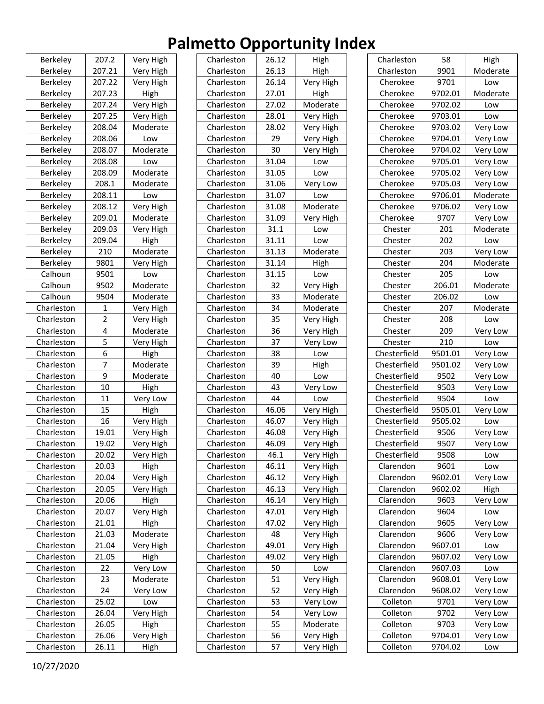| <b>Berkeley</b> | 207.2          | Very High |
|-----------------|----------------|-----------|
| <b>Berkeley</b> | 207.21         | Very High |
| Berkeley        | 207.22         | Very High |
| Berkeley        | 207.23         | High      |
| Berkeley        | 207.24         | Very High |
| Berkeley        | 207.25         | Very High |
| Berkeley        | 208.04         | Moderate  |
| Berkeley        | 208.06         | Low       |
| Berkeley        | 208.07         | Moderate  |
| <b>Berkeley</b> | 208.08         | Low       |
| <b>Berkeley</b> | 208.09         | Moderate  |
| Berkeley        | 208.1          | Moderate  |
| Berkeley        | 208.11         | Low       |
| Berkeley        | 208.12         | Very High |
| Berkeley        | 209.01         | Moderate  |
| <b>Berkeley</b> | 209.03         | Very High |
| Berkeley        | 209.04         | High      |
| Berkeley        | 210            | Moderate  |
| <b>Berkeley</b> | 9801           | Very High |
| Calhoun         | 9501           | Low       |
| Calhoun         | 9502           | Moderate  |
| Calhoun         | 9504           | Moderate  |
| Charleston      | 1              | Very High |
| Charleston      | $\overline{2}$ | Very High |
| Charleston      | 4              | Moderate  |
| Charleston      | 5              | Very High |
| Charleston      | 6              | High      |
| Charleston      | $\overline{7}$ | Moderate  |
| Charleston      | 9              | Moderate  |
| Charleston      | 10             | High      |
| Charleston      | 11             | Very Low  |
| Charleston      | 15             | High      |
| Charleston      | 16             | Very High |
| Charleston      | 19.01          | Very High |
| Charleston      | 19.02          |           |
|                 |                | Very High |
| Charleston      | 20.02          | Very High |
| Charleston      | 20.03          | High      |
| Charleston      | 20.04          | Very High |
| Charleston      | 20.05          | Very High |
| Charleston      | 20.06          | High      |
| Charleston      | 20.07          | Very High |
| Charleston      | 21.01          | High      |
| Charleston      | 21.03          | Moderate  |
| Charleston      | 21.04          | Very High |
| Charleston      | 21.05          | High      |
| Charleston      | 22             | Very Low  |
| Charleston      | 23             | Moderate  |
| Charleston      | 24             | Very Low  |
| Charleston      | 25.02          | Low       |
| Charleston      | 26.04          | Very High |
| Charleston      | 26.05          | High      |
| Charleston      | 26.06          | Very High |
| Charleston      | 26.11          | High      |

| Charleston | 26.12 | High                   |
|------------|-------|------------------------|
| Charleston | 26.13 | High                   |
| Charleston | 26.14 | Very High              |
| Charleston | 27.01 | High                   |
| Charleston | 27.02 | Moderate               |
| Charleston | 28.01 | Very High              |
| Charleston | 28.02 | Very High              |
| Charleston | 29    | Very High              |
| Charleston | 30    | Very High              |
| Charleston | 31.04 | Low                    |
| Charleston | 31.05 | Low                    |
| Charleston | 31.06 | Very Low               |
| Charleston | 31.07 | Low                    |
| Charleston | 31.08 | Moderate               |
| Charleston | 31.09 | Very High              |
| Charleston | 31.1  | Low                    |
| Charleston | 31.11 | Low                    |
| Charleston | 31.13 | Moderate               |
| Charleston | 31.14 | High                   |
| Charleston | 31.15 | Low                    |
| Charleston | 32    | Very High              |
| Charleston | 33    | Moderate               |
| Charleston | 34    | Moderate               |
| Charleston | 35    | Very High              |
| Charleston | 36    | Very High              |
| Charleston | 37    | Very Low               |
| Charleston | 38    | Low                    |
| Charleston | 39    | High                   |
| Charleston | 40    | Low                    |
| Charleston | 43    | Very Low               |
| Charleston | 44    | Low                    |
| Charleston | 46.06 | Very High              |
| Charleston | 46.07 | Very High              |
| Charleston | 46.08 | Very High              |
| Charleston | 46.09 | Very High              |
| Charleston | 46.1  | Very High              |
| Charleston | 46.11 | Very High              |
| Charleston | 46.12 | Very High              |
| Charleston | 46.13 | Very High              |
| Charleston | 46.14 | Very High              |
| Charleston | 47.01 |                        |
| Charleston | 47.02 | Very High<br>Very High |
| Charleston | 48    |                        |
| Charleston |       | Very High              |
|            | 49.01 | Very High              |
| Charleston | 49.02 | Very High              |
| Charleston | 50    | Low                    |
| Charleston | 51    | Very High              |
| Charleston | 52    | Very High              |
| Charleston | 53    | Very Low               |
| Charleston | 54    | Very Low               |
| Charleston | 55    | Moderate               |
| Charleston | 56    | Very High              |
| Charleston | 57    | Very High              |

| Charleston<br>58<br>High<br>Charleston<br>9901<br>Moderate<br>Cherokee<br>9701<br>Low<br>Cherokee<br>9702.01<br>Moderate<br>Cherokee<br>9702.02<br>Low<br>9703.01<br>Cherokee<br>Low<br>9703.02<br>Cherokee<br>Very Low<br>9704.01<br>Very Low<br>Cherokee<br>Cherokee<br>9704.02<br>Very Low<br>9705.01<br>Very Low<br>Cherokee<br>9705.02<br>Cherokee<br>Very Low<br>9705.03<br>Cherokee<br>Very Low<br>Cherokee<br>9706.01<br>Moderate<br>9706.02<br>Cherokee<br>Very Low<br>Cherokee<br>9707<br>Very Low<br>201<br>Moderate<br>Chester<br>Chester<br>202<br>Low<br>Chester<br>203<br>Very Low<br>204<br>Moderate<br>Chester<br>Chester<br>205<br>Low<br>206.01<br>Chester<br>Moderate<br>206.02<br>Chester<br>Low<br>Chester<br>207<br>Moderate<br>208<br>Chester<br>Low<br>209<br>Chester<br>Very Low<br>210<br>Chester<br>Low<br>Chesterfield<br>9501.01<br>Very Low<br>9501.02<br>Chesterfield<br>Very Low<br>Very Low<br>Chesterfield<br>9502<br>Chesterfield<br>9503<br>Very Low<br>9504<br>Chesterfield<br>Low<br>Chesterfield<br>9505.01<br>Very Low<br>9505.02<br>Chesterfield<br>Low<br>9506<br>Chesterfield<br>Very Low<br>9507<br>Chesterfield<br>Very Low<br>Chesterfield<br>9508<br>Low<br>Clarendon<br>9601<br>Low<br>Clarendon<br>9602.01<br>Very Low<br>Clarendon<br>9602.02<br>High<br>9603<br>Very Low<br>Clarendon<br>Clarendon<br>9604<br>Low<br>Clarendon<br>9605<br>Very Low<br>Very Lo <u>w</u><br>Clarendon<br>9606<br>Clarendon<br>9607.01<br>Low<br>Clarendon<br>9607.02<br>Very Low<br>Clarendon<br>9607.03<br>Low<br>Clarendon<br>9608.01<br>Very Low<br>9608.02<br>Clarendon<br>Very Low<br>Colleton<br>9701<br>Very Low<br>Very Low<br>Colleton<br>9702<br>Colleton<br>9703<br>Very Low<br>Very Low<br>Colleton<br>9704.01 |          |         |     |
|--------------------------------------------------------------------------------------------------------------------------------------------------------------------------------------------------------------------------------------------------------------------------------------------------------------------------------------------------------------------------------------------------------------------------------------------------------------------------------------------------------------------------------------------------------------------------------------------------------------------------------------------------------------------------------------------------------------------------------------------------------------------------------------------------------------------------------------------------------------------------------------------------------------------------------------------------------------------------------------------------------------------------------------------------------------------------------------------------------------------------------------------------------------------------------------------------------------------------------------------------------------------------------------------------------------------------------------------------------------------------------------------------------------------------------------------------------------------------------------------------------------------------------------------------------------------------------------------------------------------------------------------------------------------------------------------------------------------------------------------------------------|----------|---------|-----|
|                                                                                                                                                                                                                                                                                                                                                                                                                                                                                                                                                                                                                                                                                                                                                                                                                                                                                                                                                                                                                                                                                                                                                                                                                                                                                                                                                                                                                                                                                                                                                                                                                                                                                                                                                              |          |         |     |
|                                                                                                                                                                                                                                                                                                                                                                                                                                                                                                                                                                                                                                                                                                                                                                                                                                                                                                                                                                                                                                                                                                                                                                                                                                                                                                                                                                                                                                                                                                                                                                                                                                                                                                                                                              |          |         |     |
|                                                                                                                                                                                                                                                                                                                                                                                                                                                                                                                                                                                                                                                                                                                                                                                                                                                                                                                                                                                                                                                                                                                                                                                                                                                                                                                                                                                                                                                                                                                                                                                                                                                                                                                                                              |          |         |     |
|                                                                                                                                                                                                                                                                                                                                                                                                                                                                                                                                                                                                                                                                                                                                                                                                                                                                                                                                                                                                                                                                                                                                                                                                                                                                                                                                                                                                                                                                                                                                                                                                                                                                                                                                                              |          |         |     |
|                                                                                                                                                                                                                                                                                                                                                                                                                                                                                                                                                                                                                                                                                                                                                                                                                                                                                                                                                                                                                                                                                                                                                                                                                                                                                                                                                                                                                                                                                                                                                                                                                                                                                                                                                              |          |         |     |
|                                                                                                                                                                                                                                                                                                                                                                                                                                                                                                                                                                                                                                                                                                                                                                                                                                                                                                                                                                                                                                                                                                                                                                                                                                                                                                                                                                                                                                                                                                                                                                                                                                                                                                                                                              |          |         |     |
|                                                                                                                                                                                                                                                                                                                                                                                                                                                                                                                                                                                                                                                                                                                                                                                                                                                                                                                                                                                                                                                                                                                                                                                                                                                                                                                                                                                                                                                                                                                                                                                                                                                                                                                                                              |          |         |     |
|                                                                                                                                                                                                                                                                                                                                                                                                                                                                                                                                                                                                                                                                                                                                                                                                                                                                                                                                                                                                                                                                                                                                                                                                                                                                                                                                                                                                                                                                                                                                                                                                                                                                                                                                                              |          |         |     |
|                                                                                                                                                                                                                                                                                                                                                                                                                                                                                                                                                                                                                                                                                                                                                                                                                                                                                                                                                                                                                                                                                                                                                                                                                                                                                                                                                                                                                                                                                                                                                                                                                                                                                                                                                              |          |         |     |
|                                                                                                                                                                                                                                                                                                                                                                                                                                                                                                                                                                                                                                                                                                                                                                                                                                                                                                                                                                                                                                                                                                                                                                                                                                                                                                                                                                                                                                                                                                                                                                                                                                                                                                                                                              |          |         |     |
|                                                                                                                                                                                                                                                                                                                                                                                                                                                                                                                                                                                                                                                                                                                                                                                                                                                                                                                                                                                                                                                                                                                                                                                                                                                                                                                                                                                                                                                                                                                                                                                                                                                                                                                                                              |          |         |     |
|                                                                                                                                                                                                                                                                                                                                                                                                                                                                                                                                                                                                                                                                                                                                                                                                                                                                                                                                                                                                                                                                                                                                                                                                                                                                                                                                                                                                                                                                                                                                                                                                                                                                                                                                                              |          |         |     |
|                                                                                                                                                                                                                                                                                                                                                                                                                                                                                                                                                                                                                                                                                                                                                                                                                                                                                                                                                                                                                                                                                                                                                                                                                                                                                                                                                                                                                                                                                                                                                                                                                                                                                                                                                              |          |         |     |
|                                                                                                                                                                                                                                                                                                                                                                                                                                                                                                                                                                                                                                                                                                                                                                                                                                                                                                                                                                                                                                                                                                                                                                                                                                                                                                                                                                                                                                                                                                                                                                                                                                                                                                                                                              |          |         |     |
|                                                                                                                                                                                                                                                                                                                                                                                                                                                                                                                                                                                                                                                                                                                                                                                                                                                                                                                                                                                                                                                                                                                                                                                                                                                                                                                                                                                                                                                                                                                                                                                                                                                                                                                                                              |          |         |     |
|                                                                                                                                                                                                                                                                                                                                                                                                                                                                                                                                                                                                                                                                                                                                                                                                                                                                                                                                                                                                                                                                                                                                                                                                                                                                                                                                                                                                                                                                                                                                                                                                                                                                                                                                                              |          |         |     |
|                                                                                                                                                                                                                                                                                                                                                                                                                                                                                                                                                                                                                                                                                                                                                                                                                                                                                                                                                                                                                                                                                                                                                                                                                                                                                                                                                                                                                                                                                                                                                                                                                                                                                                                                                              |          |         |     |
|                                                                                                                                                                                                                                                                                                                                                                                                                                                                                                                                                                                                                                                                                                                                                                                                                                                                                                                                                                                                                                                                                                                                                                                                                                                                                                                                                                                                                                                                                                                                                                                                                                                                                                                                                              |          |         |     |
|                                                                                                                                                                                                                                                                                                                                                                                                                                                                                                                                                                                                                                                                                                                                                                                                                                                                                                                                                                                                                                                                                                                                                                                                                                                                                                                                                                                                                                                                                                                                                                                                                                                                                                                                                              |          |         |     |
|                                                                                                                                                                                                                                                                                                                                                                                                                                                                                                                                                                                                                                                                                                                                                                                                                                                                                                                                                                                                                                                                                                                                                                                                                                                                                                                                                                                                                                                                                                                                                                                                                                                                                                                                                              |          |         |     |
|                                                                                                                                                                                                                                                                                                                                                                                                                                                                                                                                                                                                                                                                                                                                                                                                                                                                                                                                                                                                                                                                                                                                                                                                                                                                                                                                                                                                                                                                                                                                                                                                                                                                                                                                                              |          |         |     |
|                                                                                                                                                                                                                                                                                                                                                                                                                                                                                                                                                                                                                                                                                                                                                                                                                                                                                                                                                                                                                                                                                                                                                                                                                                                                                                                                                                                                                                                                                                                                                                                                                                                                                                                                                              |          |         |     |
|                                                                                                                                                                                                                                                                                                                                                                                                                                                                                                                                                                                                                                                                                                                                                                                                                                                                                                                                                                                                                                                                                                                                                                                                                                                                                                                                                                                                                                                                                                                                                                                                                                                                                                                                                              |          |         |     |
|                                                                                                                                                                                                                                                                                                                                                                                                                                                                                                                                                                                                                                                                                                                                                                                                                                                                                                                                                                                                                                                                                                                                                                                                                                                                                                                                                                                                                                                                                                                                                                                                                                                                                                                                                              |          |         |     |
|                                                                                                                                                                                                                                                                                                                                                                                                                                                                                                                                                                                                                                                                                                                                                                                                                                                                                                                                                                                                                                                                                                                                                                                                                                                                                                                                                                                                                                                                                                                                                                                                                                                                                                                                                              |          |         |     |
|                                                                                                                                                                                                                                                                                                                                                                                                                                                                                                                                                                                                                                                                                                                                                                                                                                                                                                                                                                                                                                                                                                                                                                                                                                                                                                                                                                                                                                                                                                                                                                                                                                                                                                                                                              |          |         |     |
|                                                                                                                                                                                                                                                                                                                                                                                                                                                                                                                                                                                                                                                                                                                                                                                                                                                                                                                                                                                                                                                                                                                                                                                                                                                                                                                                                                                                                                                                                                                                                                                                                                                                                                                                                              |          |         |     |
|                                                                                                                                                                                                                                                                                                                                                                                                                                                                                                                                                                                                                                                                                                                                                                                                                                                                                                                                                                                                                                                                                                                                                                                                                                                                                                                                                                                                                                                                                                                                                                                                                                                                                                                                                              |          |         |     |
|                                                                                                                                                                                                                                                                                                                                                                                                                                                                                                                                                                                                                                                                                                                                                                                                                                                                                                                                                                                                                                                                                                                                                                                                                                                                                                                                                                                                                                                                                                                                                                                                                                                                                                                                                              |          |         |     |
|                                                                                                                                                                                                                                                                                                                                                                                                                                                                                                                                                                                                                                                                                                                                                                                                                                                                                                                                                                                                                                                                                                                                                                                                                                                                                                                                                                                                                                                                                                                                                                                                                                                                                                                                                              |          |         |     |
|                                                                                                                                                                                                                                                                                                                                                                                                                                                                                                                                                                                                                                                                                                                                                                                                                                                                                                                                                                                                                                                                                                                                                                                                                                                                                                                                                                                                                                                                                                                                                                                                                                                                                                                                                              |          |         |     |
|                                                                                                                                                                                                                                                                                                                                                                                                                                                                                                                                                                                                                                                                                                                                                                                                                                                                                                                                                                                                                                                                                                                                                                                                                                                                                                                                                                                                                                                                                                                                                                                                                                                                                                                                                              |          |         |     |
|                                                                                                                                                                                                                                                                                                                                                                                                                                                                                                                                                                                                                                                                                                                                                                                                                                                                                                                                                                                                                                                                                                                                                                                                                                                                                                                                                                                                                                                                                                                                                                                                                                                                                                                                                              |          |         |     |
|                                                                                                                                                                                                                                                                                                                                                                                                                                                                                                                                                                                                                                                                                                                                                                                                                                                                                                                                                                                                                                                                                                                                                                                                                                                                                                                                                                                                                                                                                                                                                                                                                                                                                                                                                              |          |         |     |
|                                                                                                                                                                                                                                                                                                                                                                                                                                                                                                                                                                                                                                                                                                                                                                                                                                                                                                                                                                                                                                                                                                                                                                                                                                                                                                                                                                                                                                                                                                                                                                                                                                                                                                                                                              |          |         |     |
|                                                                                                                                                                                                                                                                                                                                                                                                                                                                                                                                                                                                                                                                                                                                                                                                                                                                                                                                                                                                                                                                                                                                                                                                                                                                                                                                                                                                                                                                                                                                                                                                                                                                                                                                                              |          |         |     |
|                                                                                                                                                                                                                                                                                                                                                                                                                                                                                                                                                                                                                                                                                                                                                                                                                                                                                                                                                                                                                                                                                                                                                                                                                                                                                                                                                                                                                                                                                                                                                                                                                                                                                                                                                              |          |         |     |
|                                                                                                                                                                                                                                                                                                                                                                                                                                                                                                                                                                                                                                                                                                                                                                                                                                                                                                                                                                                                                                                                                                                                                                                                                                                                                                                                                                                                                                                                                                                                                                                                                                                                                                                                                              |          |         |     |
|                                                                                                                                                                                                                                                                                                                                                                                                                                                                                                                                                                                                                                                                                                                                                                                                                                                                                                                                                                                                                                                                                                                                                                                                                                                                                                                                                                                                                                                                                                                                                                                                                                                                                                                                                              |          |         |     |
|                                                                                                                                                                                                                                                                                                                                                                                                                                                                                                                                                                                                                                                                                                                                                                                                                                                                                                                                                                                                                                                                                                                                                                                                                                                                                                                                                                                                                                                                                                                                                                                                                                                                                                                                                              |          |         |     |
|                                                                                                                                                                                                                                                                                                                                                                                                                                                                                                                                                                                                                                                                                                                                                                                                                                                                                                                                                                                                                                                                                                                                                                                                                                                                                                                                                                                                                                                                                                                                                                                                                                                                                                                                                              |          |         |     |
|                                                                                                                                                                                                                                                                                                                                                                                                                                                                                                                                                                                                                                                                                                                                                                                                                                                                                                                                                                                                                                                                                                                                                                                                                                                                                                                                                                                                                                                                                                                                                                                                                                                                                                                                                              |          |         |     |
|                                                                                                                                                                                                                                                                                                                                                                                                                                                                                                                                                                                                                                                                                                                                                                                                                                                                                                                                                                                                                                                                                                                                                                                                                                                                                                                                                                                                                                                                                                                                                                                                                                                                                                                                                              |          |         |     |
|                                                                                                                                                                                                                                                                                                                                                                                                                                                                                                                                                                                                                                                                                                                                                                                                                                                                                                                                                                                                                                                                                                                                                                                                                                                                                                                                                                                                                                                                                                                                                                                                                                                                                                                                                              |          |         |     |
|                                                                                                                                                                                                                                                                                                                                                                                                                                                                                                                                                                                                                                                                                                                                                                                                                                                                                                                                                                                                                                                                                                                                                                                                                                                                                                                                                                                                                                                                                                                                                                                                                                                                                                                                                              |          |         |     |
|                                                                                                                                                                                                                                                                                                                                                                                                                                                                                                                                                                                                                                                                                                                                                                                                                                                                                                                                                                                                                                                                                                                                                                                                                                                                                                                                                                                                                                                                                                                                                                                                                                                                                                                                                              |          |         |     |
|                                                                                                                                                                                                                                                                                                                                                                                                                                                                                                                                                                                                                                                                                                                                                                                                                                                                                                                                                                                                                                                                                                                                                                                                                                                                                                                                                                                                                                                                                                                                                                                                                                                                                                                                                              |          |         |     |
|                                                                                                                                                                                                                                                                                                                                                                                                                                                                                                                                                                                                                                                                                                                                                                                                                                                                                                                                                                                                                                                                                                                                                                                                                                                                                                                                                                                                                                                                                                                                                                                                                                                                                                                                                              |          |         |     |
|                                                                                                                                                                                                                                                                                                                                                                                                                                                                                                                                                                                                                                                                                                                                                                                                                                                                                                                                                                                                                                                                                                                                                                                                                                                                                                                                                                                                                                                                                                                                                                                                                                                                                                                                                              |          |         |     |
|                                                                                                                                                                                                                                                                                                                                                                                                                                                                                                                                                                                                                                                                                                                                                                                                                                                                                                                                                                                                                                                                                                                                                                                                                                                                                                                                                                                                                                                                                                                                                                                                                                                                                                                                                              |          |         |     |
|                                                                                                                                                                                                                                                                                                                                                                                                                                                                                                                                                                                                                                                                                                                                                                                                                                                                                                                                                                                                                                                                                                                                                                                                                                                                                                                                                                                                                                                                                                                                                                                                                                                                                                                                                              |          |         |     |
|                                                                                                                                                                                                                                                                                                                                                                                                                                                                                                                                                                                                                                                                                                                                                                                                                                                                                                                                                                                                                                                                                                                                                                                                                                                                                                                                                                                                                                                                                                                                                                                                                                                                                                                                                              |          |         |     |
|                                                                                                                                                                                                                                                                                                                                                                                                                                                                                                                                                                                                                                                                                                                                                                                                                                                                                                                                                                                                                                                                                                                                                                                                                                                                                                                                                                                                                                                                                                                                                                                                                                                                                                                                                              | Colleton | 9704.02 | Low |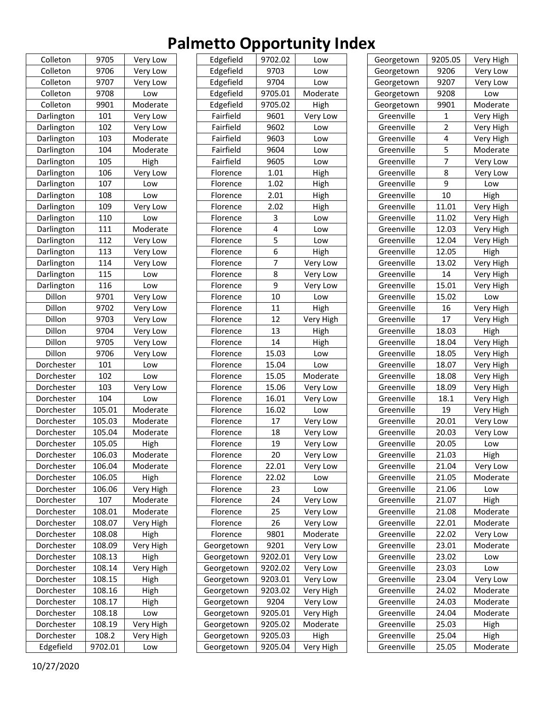| Colleton   | 9705     | Very Low  |
|------------|----------|-----------|
| Colleton   | 9706     | Very Low  |
| Colleton   | 9707     | Very Low  |
| Colleton   | 9708     | Low       |
| Colleton   | 9901     | Moderate  |
| Darlington | 101      | Very Low  |
| Darlington | 102      | Very Low  |
| Darlington | 103      | Moderate  |
| Darlington | 104      | Moderate  |
| Darlington | 105      | High      |
| Darlington | 106      | Very Low  |
| Darlington | 107      | Low       |
| Darlington | 108      | Low       |
| Darlington | 109      | Very Low  |
| Darlington | 110      | Low       |
| Darlington | 111      | Moderate  |
| Darlington | 112      | Very Low  |
| Darlington | 113      | Very Low  |
| Darlington | 114      | Very Low  |
| Darlington | -<br>115 | Low       |
| Darlington | 116      | Low       |
| Dillon     | 9701     |           |
|            |          | Very Low  |
| Dillon     | 9702     | Very Low  |
| Dillon     | 9703     | Very Low  |
| Dillon     | 9704     | Very Low  |
| Dillon     | 9705     | Very Low  |
| Dillon     | 9706     | Very Low  |
| Dorchester | 101      | Low       |
| Dorchester | 102      | Low       |
| Dorchester | 103      | Very Low  |
| Dorchester | 104      | Low       |
| Dorchester | 105.01   | Moderate  |
| Dorchester | 105.03   | Moderate  |
| Dorchester | 105.04   | Moderate  |
| Dorchester | 105.05   | High      |
| Dorchester | 106.03   | Moderate  |
| Dorchester | 106.04   | Moderate  |
| Dorchester | 106.05   | High      |
| Dorchester | 106.06   | Very High |
| Dorchester | 107      | Moderate  |
| Dorchester | 108.01   | Moderate  |
| Dorchester | 108.07   | Very High |
| Dorchester | 108.08   | High      |
| Dorchester | 108.09   | Very High |
| Dorchester | 108.13   | High      |
| Dorchester | 108.14   | Very High |
| Dorchester | 108.15   | High      |
| Dorchester | 108.16   | High      |
| Dorchester | 108.17   | High      |
| Dorchester | 108.18   | Low       |
| Dorchester | 108.19   | Very High |
| Dorchester | 108.2    | Very High |
| Edgefield  | 9702.01  | Low       |
|            |          |           |

| Edgefield  | 9702.02 | Low       |
|------------|---------|-----------|
| Edgefield  | 9703    | Low       |
| Edgefield  | 9704    | Low       |
| Edgefield  | 9705.01 | Moderate  |
| Edgefield  | 9705.02 | High      |
| Fairfield  | 9601    | Very Low  |
| Fairfield  | 9602    | Low       |
| Fairfield  | 9603    | Low       |
| Fairfield  | 9604    | Low       |
| Fairfield  | 9605    | Low       |
| Florence   | 1.01    | High      |
| Florence   | 1.02    | High      |
| Florence   | 2.01    | High      |
| Florence   | 2.02    | High      |
| Florence   | 3       | Low       |
| Florence   | 4       | Low       |
| Florence   | 5       | Low       |
| Florence   | 6       | High      |
| Florence   | 7       | Very Low  |
| Florence   | 8       | Very Low  |
| Florence   | 9       | Very Low  |
| Florence   | 10      | Low       |
| Florence   | 11      | High      |
| Florence   | 12      | Very High |
| Florence   | 13      | High      |
| Florence   | 14      | High      |
| Florence   | 15.03   | Low       |
| Florence   | 15.04   | Low       |
| Florence   | 15.05   | Moderate  |
| Florence   | 15.06   | Very Low  |
| Florence   | 16.01   | Very Low  |
| Florence   | 16.02   | Low       |
| Florence   | 17      | Very Low  |
| Florence   | 18      | Very Low  |
| Florence   | 19      | Very Low  |
| Florence   | 20      | Very Low  |
| Florence   | 22.01   | Very Low  |
| Florence   | 22.02   | Low       |
| Florence   | 23      | Low       |
| Florence   | 24      | Very Low  |
| Florence   | 25      | Very Low  |
| Florence   | 26      | Very Low  |
| Florence   | 9801    | Moderate  |
| Georgetown | 9201    | Very Low  |
| Georgetown | 9202.01 | Very Low  |
| Georgetown | 9202.02 | Very Low  |
| Georgetown | 9203.01 | Very Low  |
| Georgetown | 9203.02 | Very High |
| Georgetown | 9204    | Very Low  |
| Georgetown | 9205.01 | Very High |
| Georgetown | 9205.02 | Moderate  |
| Georgetown | 9205.03 | High      |
| Georgetown | 9205.04 | Very High |
|            |         |           |

| Georgetown | 9205.05        | Very High |
|------------|----------------|-----------|
| Georgetown | 9206           | Very Low  |
| Georgetown | 9207           | Very Low  |
| Georgetown | 9208           | Low       |
| Georgetown | 9901           | Moderate  |
| Greenville | $\mathbf{1}$   | Very High |
| Greenville | $\overline{2}$ | Very High |
| Greenville | 4              | Very High |
| Greenville | 5              | Moderate  |
| Greenville | 7              | Very Low  |
| Greenville | 8              | Very Low  |
| Greenville | 9              | Low       |
| Greenville | 10             | High      |
| Greenville | 11.01          | Very High |
| Greenville | 11.02          | Very High |
| Greenville | 12.03          | Very High |
| Greenville | 12.04          | Very High |
| Greenville | 12.05          | High      |
| Greenville | 13.02          | Very High |
| Greenville | 14             | Very High |
| Greenville | 15.01          | Very High |
| Greenville | 15.02          | Low       |
| Greenville | 16             | Very High |
| Greenville | 17             | Very High |
| Greenville | 18.03          | High      |
| Greenville | 18.04          | Very High |
| Greenville | 18.05          | Very High |
| Greenville | 18.07          | Very High |
| Greenville | 18.08          | Very High |
| Greenville | 18.09          | Very High |
| Greenville | 18.1           | Very High |
| Greenville | 19             | Very High |
| Greenville | 20.01          | Very Low  |
| Greenville | 20.03          | Very Low  |
| Greenville | 20.05          | Low       |
| Greenville | 21.03          | High      |
| Greenville | 21.04          | Very Low  |
| Greenville | 21.05          | Moderate  |
| Greenville | 21.06          | Low       |
| Greenville | 21.07          | High      |
| Greenville | 21.08          | Moderate  |
| Greenville | 22.01          | Moderate  |
| Greenville | 22.02          | Very Low  |
| Greenville | 23.01          | Moderate  |
| Greenville | 23.02          | Low       |
| Greenville | 23.03          | Low       |
| Greenville | 23.04          | Very Low  |
| Greenville | 24.02          | Moderate  |
| Greenville | 24.03          | Moderate  |
| Greenville | 24.04          | Moderate  |
| Greenville | 25.03          | High      |
| Greenville | 25.04          | High      |
| Greenville | 25.05          | Moderate  |
|            |                |           |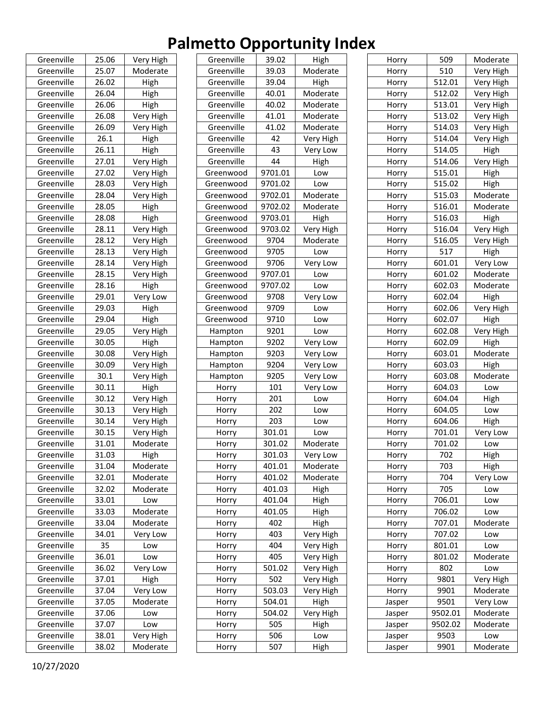| Greenville | 25.06 | Very High |
|------------|-------|-----------|
| Greenville | 25.07 | Moderate  |
| Greenville | 26.02 | High      |
| Greenville | 26.04 | High      |
| Greenville | 26.06 | High      |
| Greenville | 26.08 | Very High |
| Greenville | 26.09 | Very High |
| Greenville | 26.1  | High      |
| Greenville | 26.11 | High      |
| Greenville | 27.01 | Very High |
| Greenville | 27.02 | Very High |
| Greenville | 28.03 | Very High |
| Greenville | 28.04 | Very High |
| Greenville | 28.05 | High      |
| Greenville | 28.08 | High      |
| Greenville | 28.11 | Very High |
| Greenville | 28.12 | Very High |
| Greenville | 28.13 | Very High |
| Greenville | 28.14 | Very High |
| Greenville | 28.15 | Very High |
| Greenville | 28.16 | High      |
| Greenville | 29.01 | Very Low  |
| Greenville | 29.03 | High      |
| Greenville | 29.04 | High      |
| Greenville | 29.05 | Very High |
| Greenville | 30.05 | High      |
| Greenville | 30.08 | Very High |
| Greenville | 30.09 | Very High |
| Greenville | 30.1  | Very High |
| Greenville | 30.11 | High      |
| Greenville | 30.12 | Very High |
| Greenville | 30.13 | Very High |
| Greenville | 30.14 | Very High |
| Greenville | 30.15 | Very High |
| Greenville | 31.01 | Moderate  |
| Greenville | 31.03 | High      |
| Greenville | 31.04 | Moderate  |
| Greenville | 32.01 | Moderate  |
| Greenville | 32.02 | Moderate  |
| Greenville | 33.01 | Low       |
| Greenville | 33.03 | Moderate  |
| Greenville | 33.04 | Moderate  |
| Greenville | 34.01 | Very Low  |
| Greenville | 35    | Low       |
| Greenville | 36.01 | Low       |
| Greenville | 36.02 | Very Low  |
| Greenville | 37.01 | High      |
| Greenville | 37.04 | Very Low  |
| Greenville | 37.05 | Moderate  |
| Greenville | 37.06 | Low       |
| Greenville | 37.07 | Low       |
| Greenville | 38.01 | Very High |
| Greenville | 38.02 | Moderate  |

| Greenville | 39.02   | High      |
|------------|---------|-----------|
| Greenville | 39.03   | Moderate  |
| Greenville | 39.04   | High      |
| Greenville | 40.01   | Moderate  |
| Greenville | 40.02   | Moderate  |
| Greenville | 41.01   | Moderate  |
| Greenville | 41.02   | Moderate  |
| Greenville | 42      | Very High |
| Greenville | 43      | Very Low  |
| Greenville | 44      | High      |
| Greenwood  | 9701.01 | Low       |
| Greenwood  | 9701.02 | Low       |
| Greenwood  | 9702.01 | Moderate  |
| Greenwood  | 9702.02 | Moderate  |
| Greenwood  | 9703.01 | High      |
| Greenwood  | 9703.02 | Very High |
| Greenwood  | 9704    | Moderate  |
| Greenwood  | 9705    | Low       |
| Greenwood  | 9706    | Very Low  |
| Greenwood  | 9707.01 | Low       |
| Greenwood  | 9707.02 | Low       |
| Greenwood  | 9708    | Very Low  |
| Greenwood  | 9709    | Low       |
| Greenwood  | 9710    | Low       |
| Hampton    | 9201    | Low       |
| Hampton    | 9202    | Very Low  |
| Hampton    | 9203    | Very Low  |
| Hampton    | 9204    | Very Low  |
| Hampton    | 9205    | Very Low  |
| Horry      | 101     | Very Low  |
| Horry      | 201     | Low       |
| Horry      | 202     | Low       |
| Horry      | 203     | Low       |
| Horry      | 301.01  | Low       |
| Horry      | 301.02  | Moderate  |
| Horry      | 301.03  | Very Low  |
| Horry      | 401.01  | Moderate  |
| Horry      | 401.02  | Moderate  |
| Horry      | 401.03  | High      |
| Horry      | 401.04  | High      |
| Horry      | 401.05  | High      |
| Horry      | 402     | High      |
| Horry      | 403     | Very High |
| Horry      | 404     | Very High |
| Horry      | 405     | Very High |
| Horry      | 501.02  | Very High |
| Horry      | 502     | Very High |
| Horry      | 503.03  | Very High |
| Horry      | 504.01  | High      |
| Horry      | 504.02  | Very High |
| Horry      | 505     | High      |
| Horry      | 506     | Low       |
| Horry      | 507     | High      |
|            |         |           |

| Horry  | 509     | Moderate  |
|--------|---------|-----------|
| Horry  | 510     | Very High |
| Horry  | 512.01  | Very High |
| Horry  | 512.02  | Very High |
| Horry  | 513.01  | Very High |
| Horry  | 513.02  | Very High |
| Horry  | 514.03  | Very High |
| Horry  | 514.04  | Very High |
| Horry  | 514.05  | High      |
| Horry  | 514.06  | Very High |
| Horry  | 515.01  | High      |
| Horry  | 515.02  | High      |
| Horry  | 515.03  | Moderate  |
| Horry  | 516.01  | Moderate  |
| Horry  | 516.03  | High      |
| Horry  | 516.04  | Very High |
| Horry  | 516.05  | Very High |
| Horry  | 517     | High      |
| Horry  | 601.01  | Very Low  |
| Horry  | 601.02  | Moderate  |
| Horry  | 602.03  | Moderate  |
| Horry  | 602.04  | High      |
| Horry  | 602.06  | Very High |
| Horry  | 602.07  | High      |
| Horry  | 602.08  | Very High |
| Horry  | 602.09  | High      |
| Horry  | 603.01  | Moderate  |
| Horry  | 603.03  | High      |
| Horry  | 603.08  | Moderate  |
| Horry  | 604.03  | Low       |
| Horry  | 604.04  | High      |
| Horry  | 604.05  | Low       |
| Horry  | 604.06  | High      |
| Horry  | 701.01  | Very Low  |
|        | 701.02  | Low       |
| Horry  |         |           |
| Horry  | 702     | High      |
| Horry  | 703     | High      |
| Horry  | 704     | Very Low  |
| Horry  | 705     | Low       |
| Horry  | 706.01  | Low       |
| Horry  | 706.02  | Low       |
| Horry  | 707.01  | Moderate  |
| Horry  | 707.02  | Low       |
| Horry  | 801.01  | Low       |
| Horry  | 801.02  | Moderate  |
| Horry  | 802     | Low       |
| Horry  | 9801    | Very High |
| Horry  | 9901    | Moderate  |
| Jasper | 9501    | Very Low  |
| Jasper | 9502.01 | Moderate  |
| Jasper | 9502.02 | Moderate  |
| Jasper | 9503    | Low       |
| Jasper | 9901    | Moderate  |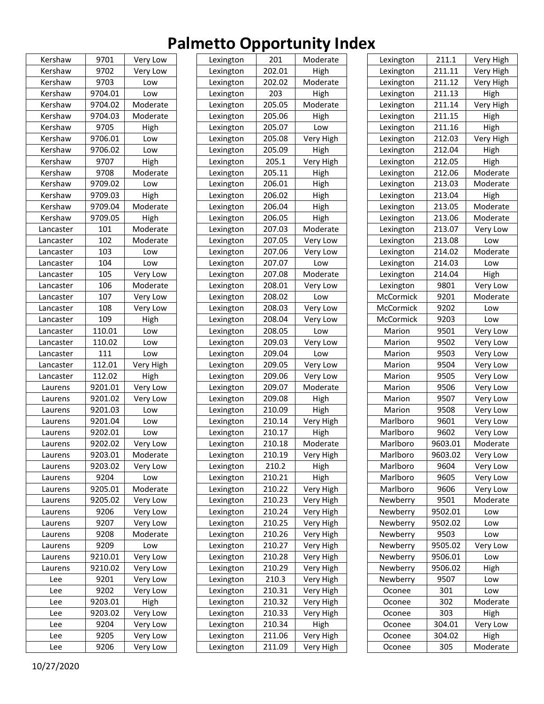| Kershaw   | 9701    | Very Low             |
|-----------|---------|----------------------|
| Kershaw   | 9702    | Very Low             |
| Kershaw   | 9703    | Low                  |
| Kershaw   | 9704.01 | Low                  |
| Kershaw   | 9704.02 | Moderate             |
| Kershaw   | 9704.03 | Moderate             |
| Kershaw   | 9705    | High                 |
| Kershaw   | 9706.01 | Low                  |
| Kershaw   | 9706.02 | Low                  |
| Kershaw   | 9707    | High                 |
| Kershaw   | 9708    | Moderate             |
| Kershaw   | 9709.02 | Low                  |
| Kershaw   | 9709.03 | High                 |
| Kershaw   | 9709.04 | Moderate             |
| Kershaw   | 9709.05 | High                 |
| Lancaster | 101     | Moderate             |
| Lancaster | 102     | Moderate             |
| Lancaster | 103     | Low                  |
| Lancaster | 104     | Low                  |
| Lancaster | 105     |                      |
| Lancaster | 106     | Very Low<br>Moderate |
|           | 107     |                      |
| Lancaster |         | Very Low             |
| Lancaster | 108     | Very Low             |
| Lancaster | 109     | High                 |
| Lancaster | 110.01  | Low                  |
| Lancaster | 110.02  | Low                  |
| Lancaster | 111     | Low                  |
| Lancaster | 112.01  | Very High            |
| Lancaster | 112.02  | High                 |
| Laurens   | 9201.01 | Very Low             |
| Laurens   | 9201.02 | Very Low             |
| Laurens   | 9201.03 | Low                  |
| Laurens   | 9201.04 | Low                  |
| Laurens   | 9202.01 | Low                  |
| Laurens   | 9202.02 | Very Low             |
| Laurens   | 9203.01 | Moderate             |
| Laurens   | 9203.02 | Very Low             |
| Laurens   | 9204    | Low                  |
| Laurens   | 9205.01 | Moderate             |
| Laurens   | 9205.02 | Very Low             |
| Laurens   | 9206    | Very Low             |
| Laurens   | 9207    | Very Low             |
| Laurens   | 9208    | Moderate             |
| Laurens   | 9209    | Low                  |
| Laurens   | 9210.01 | Very Low             |
| Laurens   | 9210.02 | Very Low             |
| Lee       | 9201    | Very Low             |
| Lee       | 9202    | Very Low             |
| Lee       | 9203.01 | High                 |
| Lee       | 9203.02 | Very Low             |
| Lee       | 9204    | Very Low             |
| Lee       | 9205    | Very Low             |
| Lee       | 9206    | Very Low             |
|           |         |                      |

| Lexington | 201    | Moderate  |
|-----------|--------|-----------|
| Lexington | 202.01 | High      |
| Lexington | 202.02 | Moderate  |
| Lexington | 203    | High      |
| Lexington | 205.05 | Moderate  |
| Lexington | 205.06 | High      |
| Lexington | 205.07 | Low       |
| Lexington | 205.08 | Very High |
| Lexington | 205.09 | High      |
| Lexington | 205.1  | Very High |
| Lexington | 205.11 | High      |
| Lexington | 206.01 | High      |
| Lexington | 206.02 | High      |
| Lexington | 206.04 | High      |
| Lexington | 206.05 | High      |
| Lexington | 207.03 | Moderate  |
| Lexington | 207.05 | Very Low  |
| Lexington | 207.06 | Very Low  |
| Lexington | 207.07 | Low       |
| Lexington | 207.08 | Moderate  |
| Lexington | 208.01 | Very Low  |
| Lexington | 208.02 | Low       |
| Lexington | 208.03 | Very Low  |
| Lexington | 208.04 | Very Low  |
| Lexington | 208.05 | Low       |
| Lexington | 209.03 | Very Low  |
| Lexington | 209.04 | Low       |
| Lexington | 209.05 | Very Low  |
| Lexington | 209.06 | Very Low  |
| Lexington | 209.07 | Moderate  |
| Lexington | 209.08 | High      |
| Lexington | 210.09 | High      |
| Lexington | 210.14 | Very High |
| Lexington | 210.17 | High      |
| Lexington | 210.18 | Moderate  |
| Lexington | 210.19 | Very High |
| Lexington | 210.2  | High      |
| Lexington | 210.21 | High      |
| Lexington | 210.22 | Very High |
| Lexington | 210.23 | Very High |
| Lexington | 210.24 | Very High |
| Lexington | 210.25 | Very High |
| Lexington | 210.26 | Very High |
| Lexington | 210.27 | Very High |
| Lexington | 210.28 | Very High |
| Lexington | 210.29 | Very High |
| Lexington | 210.3  | Very High |
| Lexington | 210.31 | Very High |
| Lexington | 210.32 | Very High |
| Lexington | 210.33 | Very High |
| Lexington | 210.34 | High      |
| Lexington | 211.06 | Very High |
| Lexington | 211.09 | Very High |
|           |        |           |

| Lexington     | 211.1   | Very High |
|---------------|---------|-----------|
| Lexington     | 211.11  | Very High |
| Lexington     | 211.12  | Very High |
| Lexington     | 211.13  | High      |
| Lexington     | 211.14  | Very High |
| Lexington     | 211.15  | High      |
| Lexington     | 211.16  | High      |
| Lexington     | 212.03  | Very High |
| Lexington     | 212.04  | High      |
| Lexington     | 212.05  | High      |
| Lexington     | 212.06  | Moderate  |
| Lexington     | 213.03  | Moderate  |
| Lexington     | 213.04  | High      |
| Lexington     | 213.05  | Moderate  |
| Lexington     | 213.06  | Moderate  |
| Lexington     | 213.07  | Very Low  |
| Lexington     | 213.08  | Low       |
| Lexington     | 214.02  | Moderate  |
| Lexington     | 214.03  | Low       |
| Lexington     | 214.04  | High      |
| Lexington     | 9801    | Very Low  |
| McCormick     | 9201    | Moderate  |
| McCormick     | 9202    | Low       |
| McCormick     | 9203    | Low       |
| Marion        | 9501    | Very Low  |
| Marion        | 9502    | Very Low  |
| Marion        | 9503    | Very Low  |
| Marion        | 9504    | Very Low  |
| Marion        | 9505    | Very Low  |
| Marion        | 9506    | Very Low  |
| Marion        | 9507    | Very Low  |
| Marion        | 9508    | Very Low  |
| Marlboro      | 9601    | Very Low  |
| Marlboro      | 9602    | Very Low  |
| .<br>Marlboro | 9603.01 | Moderate  |
| Marlboro      | 9603.02 | Very Low  |
| Marlboro      | 9604    | Very Low  |
| Marlboro      | 9605    | Very Low  |
| Marlboro      | 9606    | Very Low  |
| Newberry      | 9501    | Moderate  |
| Newberry      | 9502.01 | Low       |
| Newberry      | 9502.02 | Low       |
| Newberry      | 9503    | Low       |
| Newberry      | 9505.02 | Very Low  |
| Newberry      | 9506.01 | Low       |
| Newberry      | 9506.02 | High      |
| Newberry      | 9507    | Low       |
| Oconee        | 301     | Low       |
| Oconee        | 302     | Moderate  |
| Oconee        | 303     | High      |
| Oconee        | 304.01  | Very Low  |
| Oconee        | 304.02  | High      |
| Oconee        | 305     | Moderate  |
|               |         |           |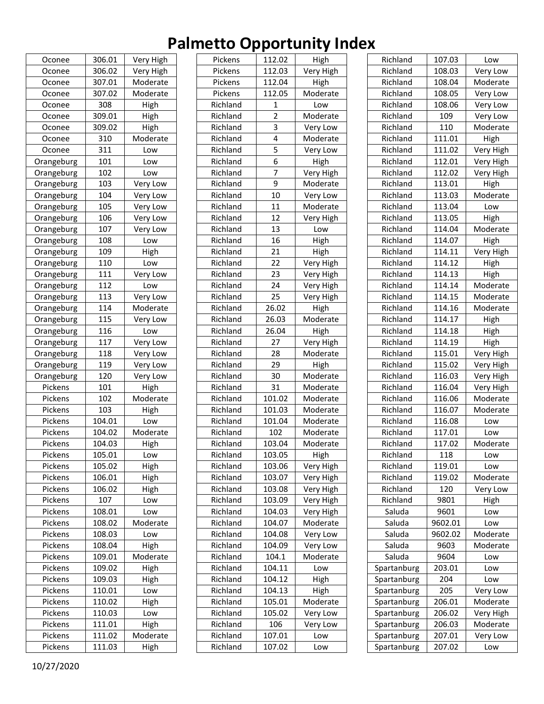| Oconee     | 306.01 | Very High                       |
|------------|--------|---------------------------------|
| Oconee     | 306.02 | Very High                       |
| Oconee     | 307.01 | Moderate                        |
| Oconee     | 307.02 | Moderate                        |
| Oconee     | 308    | High                            |
| Oconee     | 309.01 | High                            |
| Oconee     | 309.02 | High                            |
| Oconee     | 310    | Moderate                        |
| Oconee     | 311    | Low                             |
| Orangeburg | 101    | Low                             |
| Orangeburg | 102    | Low                             |
| Orangeburg | 103    | Very Low                        |
| Orangeburg | 104    | Very Low                        |
| Orangeburg | 105    | Very Low                        |
| Orangeburg | 106    | Very Low                        |
| Orangeburg | 107    | Very Low                        |
| Orangeburg | 108    | Low                             |
| Orangeburg | 109    | High                            |
| Orangeburg | 110    | Low                             |
| Orangeburg | 111    | Very Low                        |
| Orangeburg | 112    | Low                             |
| Orangeburg | 113    | Very Low                        |
| Orangeburg | 114    | Moderate                        |
| Orangeburg | 115    | Very Low                        |
| Orangeburg | 116    | Low                             |
| Orangeburg | 117    | Very Low                        |
| Orangeburg | 118    | Very Low                        |
| Orangeburg | 119    | Very Low                        |
| Orangeburg | 120    | $\overline{\mathsf{V}}$ ery Low |
| Pickens    | 101    | High                            |
| Pickens    | 102    | Moderate                        |
| Pickens    | 103    | High                            |
| Pickens    | 104.01 | Low                             |
| Pickens    | 104.02 | Moderate                        |
| Pickens    | 104.03 | High                            |
| Pickens    | 105.01 | Low                             |
| Pickens    | 105.02 | High                            |
| Pickens    | 106.01 | High                            |
| Pickens    | 106.02 | High                            |
| Pickens    | 107    | Low                             |
| Pickens    | 108.01 | Low                             |
| Pickens    | 108.02 | Moderate                        |
| Pickens    | 108.03 | Low                             |
| Pickens    | 108.04 | High                            |
| Pickens    | 109.01 | Moderate                        |
| Pickens    | 109.02 | High                            |
| Pickens    | 109.03 | High                            |
| Pickens    | 110.01 | Low                             |
| Pickens    | 110.02 | High                            |
| Pickens    | 110.03 | Low                             |
| Pickens    | 111.01 | High                            |
| Pickens    | 111.02 | Moderate                        |
| Pickens    | 111.03 | High                            |
|            |        |                                 |

| Pickens              | 112.02 | High                   |
|----------------------|--------|------------------------|
| Pickens              | 112.03 | Very High              |
| Pickens              | 112.04 | High                   |
| Pickens              | 112.05 | Moderate               |
| Richland             | 1      | Low                    |
| Richland             | 2      | Moderate               |
| Richland             | 3      | Very Low               |
| Richland             | 4      | Moderate               |
| Richland             | 5      | Very Low               |
| Richland             | 6      | High                   |
| Richland             | 7      | Very High              |
| Richland             | 9      | Moderate               |
| Richland             | 10     | Very Low               |
| Richland             | 11     | Moderate               |
| Richland             | 12     | Very High              |
| Richland             | 13     | Low                    |
| Richland             | 16     | High                   |
| Richland             | 21     |                        |
| Richland             | 22     | High                   |
|                      | 23     | Very High              |
| Richland<br>Richland | 24     | Very High<br>Very High |
|                      |        |                        |
| Richland             | 25     | Very High              |
| Richland             | 26.02  | High                   |
| Richland             | 26.03  | Moderate               |
| Richland             | 26.04  | High                   |
| Richland             | 27     | Very High              |
| Richland             | 28     | Moderate               |
| Richland             | 29     | High                   |
| Richland             | 30     | Moderate               |
| Richland             | 31     | Moderate               |
| Richland             | 101.02 | Moderate               |
| Richland             | 101.03 | Moderate               |
| Richland             | 101.04 | Moderate               |
| Richland             | 102    | Moderate               |
| Richland             | 103.04 | Moderate               |
| Richland             | 103.05 | High                   |
| Richland             | 103.06 | Very High              |
| Richland             | 103.07 | Very High              |
| Richland             | 103.08 | Very High              |
| Richland             | 103.09 | Very High              |
| Richland             | 104.03 | Very High              |
| Richland             | 104.07 | Moderate               |
| Richland             | 104.08 | Very Low               |
| Richland             | 104.09 | Very Low               |
| Richland             | 104.1  | Moderate               |
| Richland             | 104.11 | Low                    |
| Richland             | 104.12 | High                   |
| Richland             | 104.13 | High                   |
| Richland             | 105.01 | Moderate               |
| Richland             | 105.02 | Very Low               |
| Richland             | 106    | Very Low               |
| Richland             | 107.01 | Low                    |
|                      |        |                        |
| Richland             | 107.02 | Low                    |

| Richland    | 107.03        | Low                   |
|-------------|---------------|-----------------------|
| Richland    | 108.03        | Very Low              |
| Richland    | 108.04        | Moderate              |
| Richland    | 108.05        | Very Low              |
| Richland    | 108.06        | Very Low              |
| Richland    | 109           | Very Low              |
| Richland    | 110           | Moderate              |
| Richland    | 111.01        | High                  |
| Richland    | 111.02        | Very High             |
| Richland    | 112.01        | Very High             |
| Richland    | 112.02        | Very High             |
| Richland    | 113.01        | High                  |
| Richland    | 113.03        | Moderate              |
| Richland    | 113.04        | Low                   |
| Richland    | 113.05        | High                  |
| Richland    | 114.04        | Moderate              |
| Richland    | 114.07        | High                  |
| Richland    | 114.11        | Very High             |
| Richland    | 114.12        | High                  |
| Richland    | 114.13        | High                  |
| Richland    | 114.14        | Moderate              |
| Richland    | 114.15        | Moderate              |
| Richland    | 114.16        | Moderate              |
| Richland    | 114.17        | High                  |
| Richland    | 114.18        | High                  |
| Richland    | 114.19        | High                  |
| Richland    | 115.01        | Very High             |
| Richland    | 115.02        | Very High             |
| Richland    | 116.03        | Very High             |
| Richland    | 116.04        | Very High             |
| Richland    | 116.06        | Moderate              |
| Richland    | 116.07        | Moderate              |
| Richland    | 116.08        | Low                   |
| Richland    | 117.01        | Low                   |
| Richland    | 117.02        | Moderate              |
| Richland    | 118           | Low                   |
| Richland    | 119.01        | Low                   |
| Richland    | 119.02        | Moderate              |
| Richland    | 120           | Very Low              |
| Richland    | 9801          | High                  |
| Saluda      | 9601          | Low                   |
| Saluda      | 9602.01       | Low                   |
| Saluda      | 9602.02       | Moderate              |
| Saluda      | 9603          | Moderate              |
| Saluda      | 9604          |                       |
|             | 203.01        | Low                   |
| Spartanburg |               | Low                   |
| Spartanburg | 204           | Low                   |
| Spartanburg | 205<br>206.01 | Very Low<br>Moderate  |
| Spartanburg | 206.02        |                       |
| Spartanburg |               | Very High<br>Moderate |
| Spartanburg | 206.03        |                       |
| Spartanburg | 207.01        | Very Low              |
| Spartanburg | 207.02        | Low                   |